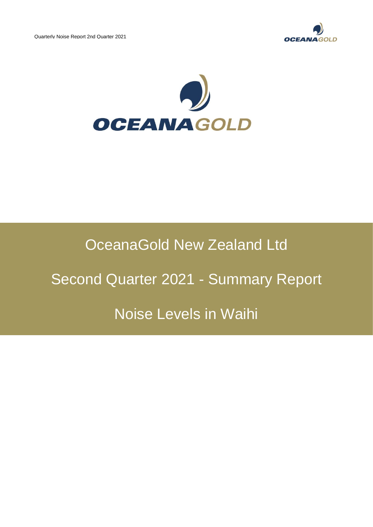



# OceanaGold New Zealand Ltd

# Second Quarter 2021 - Summary Report

# Noise Levels in Waihi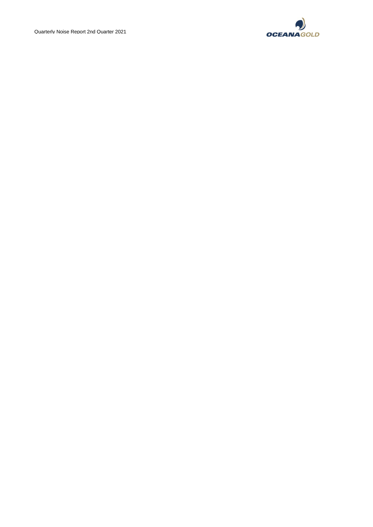

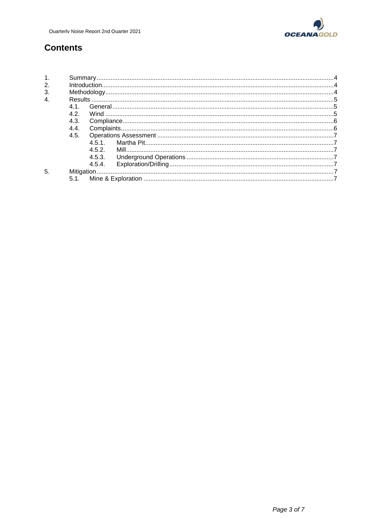

# **Contents**

| $\overline{2}$ . |      |        |  |  |  |
|------------------|------|--------|--|--|--|
| 3.               |      |        |  |  |  |
| $\overline{4}$   |      |        |  |  |  |
|                  | 41   |        |  |  |  |
|                  | 42   |        |  |  |  |
|                  | 4.3. |        |  |  |  |
|                  | 4.4  |        |  |  |  |
|                  | 4.5. |        |  |  |  |
|                  |      | 451    |  |  |  |
|                  |      | 452    |  |  |  |
|                  |      | 4.5.3. |  |  |  |
|                  |      | 4.5.4. |  |  |  |
| 5.               |      |        |  |  |  |
|                  | 5.1. |        |  |  |  |
|                  |      |        |  |  |  |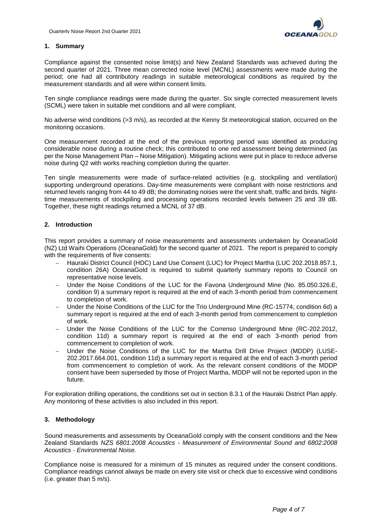

# **1. Summary**

Compliance against the consented noise limit(s) and New Zealand Standards was achieved during the second quarter of 2021. Three mean corrected noise level (MCNL) assessments were made during the period; one had all contributory readings in suitable meteorological conditions as required by the measurement standards and all were within consent limits.

Ten single compliance readings were made during the quarter. Six single corrected measurement levels (SCML) were taken in suitable met conditions and all were compliant.

No adverse wind conditions (>3 m/s), as recorded at the Kenny St meteorological station, occurred on the monitoring occasions.

One measurement recorded at the end of the previous reporting period was identified as producing considerable noise during a routine check; this contributed to one red assessment being determined (as per the Noise Management Plan – Noise Mitigation). Mitigating actions were put in place to reduce adverse noise during Q2 with works reaching completion during the quarter.

Ten single measurements were made of surface-related activities (e.g. stockpiling and ventilation) supporting underground operations. Day-time measurements were compliant with noise restrictions and returned levels ranging from 44 to 49 dB; the dominating noises were the vent shaft, traffic and birds. Nighttime measurements of stockpiling and processing operations recorded levels between 25 and 39 dB. Together, these night readings returned a MCNL of 37 dB.

# **2. Introduction**

This report provides a summary of noise measurements and assessments undertaken by OceanaGold (NZ) Ltd Waihi Operations (OceanaGold) for the second quarter of 2021. The report is prepared to comply with the requirements of five consents:

- − Hauraki District Council (HDC) Land Use Consent (LUC) for Project Martha (LUC 202.2018.857.1, condition 26A) OceanaGold is required to submit quarterly summary reports to Council on representative noise levels.
- − Under the Noise Conditions of the LUC for the Favona Underground Mine (No. 85.050.326.E, condition 9) a summary report is required at the end of each 3-month period from commencement to completion of work.
- − Under the Noise Conditions of the LUC for the Trio Underground Mine (RC-15774, condition 6d) a summary report is required at the end of each 3-month period from commencement to completion of work.
- Under the Noise Conditions of the LUC for the Correnso Underground Mine (RC-202.2012, condition 11d) a summary report is required at the end of each 3-month period from commencement to completion of work.
- − Under the Noise Conditions of the LUC for the Martha Drill Drive Project (MDDP) (LUSE-202.2017.664.001, condition 11d) a summary report is required at the end of each 3-month period from commencement to completion of work. As the relevant consent conditions of the MDDP consent have been superseded by those of Project Martha, MDDP will not be reported upon in the future.

For exploration drilling operations, the conditions set out in section 8.3.1 of the Hauraki District Plan apply. Any monitoring of these activities is also included in this report.

# **3. Methodology**

Sound measurements and assessments by OceanaGold comply with the consent conditions and the New Zealand Standards *NZS 6801:2008 Acoustics - Measurement of Environmental Sound and 6802:2008 Acoustics - Environmental Noise.*

Compliance noise is measured for a minimum of 15 minutes as required under the consent conditions. Compliance readings cannot always be made on every site visit or check due to excessive wind conditions (i.e. greater than 5 m/s).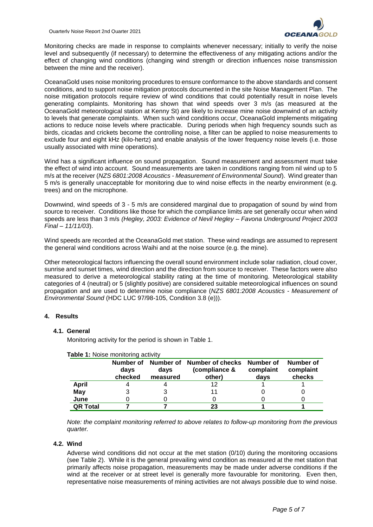

Monitoring checks are made in response to complaints whenever necessary; initially to verify the noise level and subsequently (if necessary) to determine the effectiveness of any mitigating actions and/or the effect of changing wind conditions (changing wind strength or direction influences noise transmission between the mine and the receiver).

OceanaGold uses noise monitoring procedures to ensure conformance to the above standards and consent conditions, and to support noise mitigation protocols documented in the site Noise Management Plan. The noise mitigation protocols require review of wind conditions that could potentially result in noise levels generating complaints. Monitoring has shown that wind speeds over 3 m/s (as measured at the OceanaGold meteorological station at Kenny St) are likely to increase mine noise downwind of an activity to levels that generate complaints. When such wind conditions occur, OceanaGold implements mitigating actions to reduce noise levels where practicable. During periods when high frequency sounds such as birds, cicadas and crickets become the controlling noise, a filter can be applied to noise measurements to exclude four and eight kHz (kilo-hertz) and enable analysis of the lower frequency noise levels (i.e. those usually associated with mine operations).

Wind has a significant influence on sound propagation. Sound measurement and assessment must take the effect of wind into account. Sound measurements are taken in conditions ranging from nil wind up to 5 m/s at the receiver (*NZS 6801:2008 Acoustics - Measurement of Environmental Sound*). Wind greater than 5 m/s is generally unacceptable for monitoring due to wind noise effects in the nearby environment (e.g. trees) and on the microphone.

Downwind, wind speeds of 3 - 5 m/s are considered marginal due to propagation of sound by wind from source to receiver. Conditions like those for which the compliance limits are set generally occur when wind speeds are less than 3 m/s *(Hegley, 2003: Evidence of Nevil Hegley – Favona Underground Project 2003 Final – 11/11/03*).

Wind speeds are recorded at the OceanaGold met station. These wind readings are assumed to represent the general wind conditions across Waihi and at the noise source (e.g. the mine).

Other meteorological factors influencing the overall sound environment include solar radiation, cloud cover, sunrise and sunset times, wind direction and the direction from source to receiver. These factors were also measured to derive a meteorological stability rating at the time of monitoring. Meteorological stability categories of 4 (neutral) or 5 (slightly positive) are considered suitable meteorological influences on sound propagation and are used to determine noise compliance (*NZS 6801:2008 Acoustics - Measurement of Environmental Sound* (HDC LUC 97/98-105, Condition 3.8 (e))).

#### **4. Results**

#### **4.1. General**

Monitoring activity for the period is shown in Table 1.

|                 | Number of<br>days<br>checked | days<br>measured | Number of Number of checks<br>(compliance &<br>other) | Number of<br>complaint<br>days | Number of<br>complaint<br>checks |
|-----------------|------------------------------|------------------|-------------------------------------------------------|--------------------------------|----------------------------------|
| <b>April</b>    |                              |                  | 12                                                    |                                |                                  |
| May             |                              |                  | 11                                                    |                                |                                  |
| June            |                              |                  |                                                       |                                |                                  |
| <b>QR Total</b> |                              |                  | 23                                                    |                                |                                  |

**Table 1:** Noise monitoring activity

*Note: the complaint monitoring referred to above relates to follow-up monitoring from the previous quarter.*

#### **4.2. Wind**

Adverse wind conditions did not occur at the met station (0/10) during the monitoring occasions (see Table 2). While it is the general prevailing wind condition as measured at the met station that primarily affects noise propagation, measurements may be made under adverse conditions if the wind at the receiver or at street level is generally more favourable for monitoring. Even then, representative noise measurements of mining activities are not always possible due to wind noise.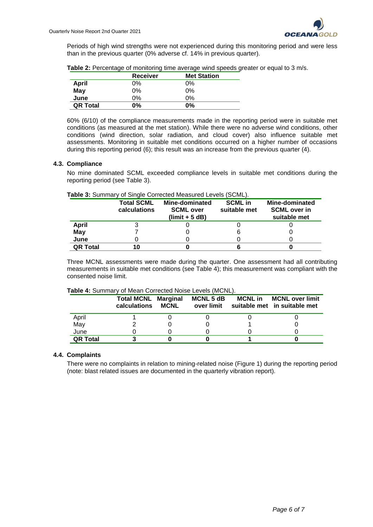

Periods of high wind strengths were not experienced during this monitoring period and were less than in the previous quarter (0% adverse cf. 14% in previous quarter).

| Table 2: Percentage of monitoring time average wind speeds greater or equal to 3 m/s. |  |  |
|---------------------------------------------------------------------------------------|--|--|
|---------------------------------------------------------------------------------------|--|--|

|                 | <b>Receiver</b> | <b>Met Station</b> |
|-----------------|-----------------|--------------------|
| <b>April</b>    | 0%              | $0\%$              |
| <b>May</b>      | $0\%$           | $0\%$              |
| June            | 0%              | 0%                 |
| <b>QR Total</b> | $0\%$           | 0%                 |

60% (6/10) of the compliance measurements made in the reporting period were in suitable met conditions (as measured at the met station). While there were no adverse wind conditions, other conditions (wind direction, solar radiation, and cloud cover) also influence suitable met assessments. Monitoring in suitable met conditions occurred on a higher number of occasions during this reporting period (6); this result was an increase from the previous quarter (4).

### **4.3. Compliance**

No mine dominated SCML exceeded compliance levels in suitable met conditions during the reporting period (see Table 3).

|                 | <b>Total SCML</b><br>calculations | Mine-dominated<br><b>SCML over</b><br>$(limit + 5 dB)$ | <b>SCML</b> in<br>suitable met | Mine-dominated<br><b>SCML over in</b><br>suitable met |
|-----------------|-----------------------------------|--------------------------------------------------------|--------------------------------|-------------------------------------------------------|
| <b>April</b>    |                                   |                                                        |                                |                                                       |
| May             |                                   |                                                        |                                |                                                       |
| June            |                                   |                                                        |                                |                                                       |
| <b>QR Total</b> | 10                                |                                                        |                                |                                                       |

#### **Table 3:** Summary of Single Corrected Measured Levels (SCML).

Three MCNL assessments were made during the quarter. One assessment had all contributing measurements in suitable met conditions (see Table 4); this measurement was compliant with the consented noise limit.

|                 | $\mathsf{I}$ able 4. Suffiliary of ineall Corrected Noise Levels (Inche).<br><b>Total MCNL Marginal</b><br>calculations | <b>MCNL</b> | <b>MCNL 5 dB</b><br>over limit | <b>MCNL in MCNL over limit</b><br>suitable met in suitable met |
|-----------------|-------------------------------------------------------------------------------------------------------------------------|-------------|--------------------------------|----------------------------------------------------------------|
| April           |                                                                                                                         |             |                                |                                                                |
| May             |                                                                                                                         |             |                                |                                                                |
| June            |                                                                                                                         |             |                                |                                                                |
| <b>QR Total</b> |                                                                                                                         |             |                                |                                                                |

# **Table 4:** Summary of Mean Corrected Noise Levels (MCNL).

#### **4.4. Complaints**

There were no complaints in relation to mining-related noise (Figure 1) during the reporting period (note: blast related issues are documented in the quarterly vibration report).